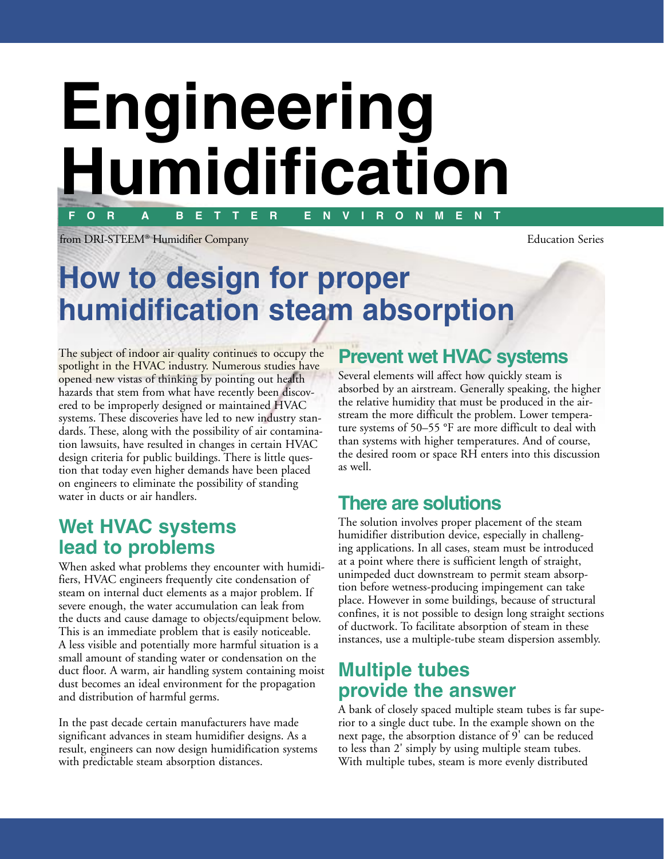# **F O R A B E T T E R E N V I R O N M E N T Engineering Humidification**

from DRI-STEEM® Humidifier Company Education Series

## **How to design for proper humidification steam absorption**

The subject of indoor air quality continues to occupy the spotlight in the HVAC industry. Numerous studies have opened new vistas of thinking by pointing out health hazards that stem from what have recently been discovered to be improperly designed or maintained HVAC systems. These discoveries have led to new industry standards. These, along with the possibility of air contamination lawsuits, have resulted in changes in certain HVAC design criteria for public buildings. There is little question that today even higher demands have been placed on engineers to eliminate the possibility of standing water in ducts or air handlers.

#### **Wet HVAC systems lead to problems**

When asked what problems they encounter with humidifiers, HVAC engineers frequently cite condensation of steam on internal duct elements as a major problem. If severe enough, the water accumulation can leak from the ducts and cause damage to objects/equipment below. This is an immediate problem that is easily noticeable. A less visible and potentially more harmful situation is a small amount of standing water or condensation on the duct floor. A warm, air handling system containing moist dust becomes an ideal environment for the propagation and distribution of harmful germs.

In the past decade certain manufacturers have made significant advances in steam humidifier designs. As a result, engineers can now design humidification systems with predictable steam absorption distances.

### **Prevent wet HVAC systems**

Several elements will affect how quickly steam is absorbed by an airstream. Generally speaking, the higher the relative humidity that must be produced in the airstream the more difficult the problem. Lower temperature systems of 50–55 °F are more difficult to deal with than systems with higher temperatures. And of course, the desired room or space RH enters into this discussion as well.

### **There are solutions**

The solution involves proper placement of the steam humidifier distribution device, especially in challenging applications. In all cases, steam must be introduced at a point where there is sufficient length of straight, unimpeded duct downstream to permit steam absorption before wetness-producing impingement can take place. However in some buildings, because of structural confines, it is not possible to design long straight sections of ductwork. To facilitate absorption of steam in these instances, use a multiple-tube steam dispersion assembly.

#### **Multiple tubes provide the answer**

A bank of closely spaced multiple steam tubes is far superior to a single duct tube. In the example shown on the next page, the absorption distance of 9' can be reduced to less than 2' simply by using multiple steam tubes. With multiple tubes, steam is more evenly distributed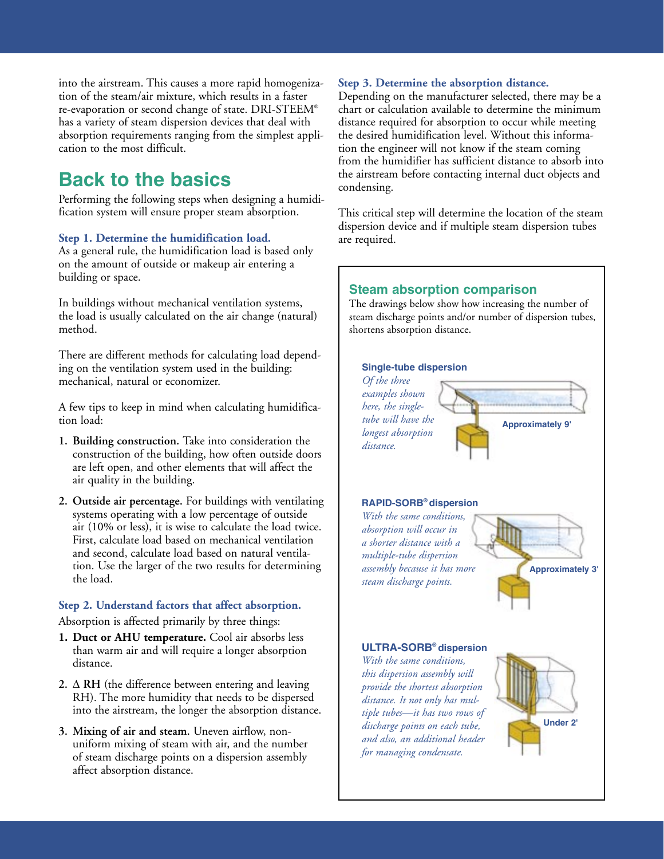into the airstream. This causes a more rapid homogenization of the steam/air mixture, which results in a faster re-evaporation or second change of state. DRI-STEEM® has a variety of steam dispersion devices that deal with absorption requirements ranging from the simplest application to the most difficult.

### **Back to the basics**

Performing the following steps when designing a humidification system will ensure proper steam absorption.

#### **Step 1. Determine the humidification load.**

As a general rule, the humidification load is based only on the amount of outside or makeup air entering a building or space.

In buildings without mechanical ventilation systems, the load is usually calculated on the air change (natural) method.

There are different methods for calculating load depending on the ventilation system used in the building: mechanical, natural or economizer.

A few tips to keep in mind when calculating humidification load:

- **1. Building construction.** Take into consideration the construction of the building, how often outside doors are left open, and other elements that will affect the air quality in the building.
- **2. Outside air percentage.** For buildings with ventilating systems operating with a low percentage of outside air (10% or less), it is wise to calculate the load twice. First, calculate load based on mechanical ventilation and second, calculate load based on natural ventilation. Use the larger of the two results for determining the load.

#### **Step 2. Understand factors that affect absorption.**

Absorption is affected primarily by three things:

- **1. Duct or AHU temperature.** Cool air absorbs less than warm air and will require a longer absorption distance.
- **2.** ∆ **RH** (the difference between entering and leaving RH). The more humidity that needs to be dispersed into the airstream, the longer the absorption distance.
- **3. Mixing of air and steam.** Uneven airflow, nonuniform mixing of steam with air, and the number of steam discharge points on a dispersion assembly affect absorption distance.

#### **Step 3. Determine the absorption distance.**

Depending on the manufacturer selected, there may be a chart or calculation available to determine the minimum distance required for absorption to occur while meeting the desired humidification level. Without this information the engineer will not know if the steam coming from the humidifier has sufficient distance to absorb into the airstream before contacting internal duct objects and condensing.

This critical step will determine the location of the steam dispersion device and if multiple steam dispersion tubes are required.

#### **Steam absorption comparison**

The drawings below show how increasing the number of steam discharge points and/or number of dispersion tubes, shortens absorption distance.

#### **Single-tube dispersion** *Of the three examples shown here, the singletube will have the longest absorption distance.* **RAPID-SORB® dispersion** *With the same conditions, absorption will occur in a shorter distance with a multiple-tube dispersion assembly because it has more steam discharge points.* **ULTRA-SORB® dispersion** *With the same conditions, this dispersion assembly will provide the shortest absorption distance. It not only has multiple tubes—it has two rows of*  **Approximately 9' Approximately 3' Under 2'**

*discharge points on each tube, and also, an additional header for managing condensate.*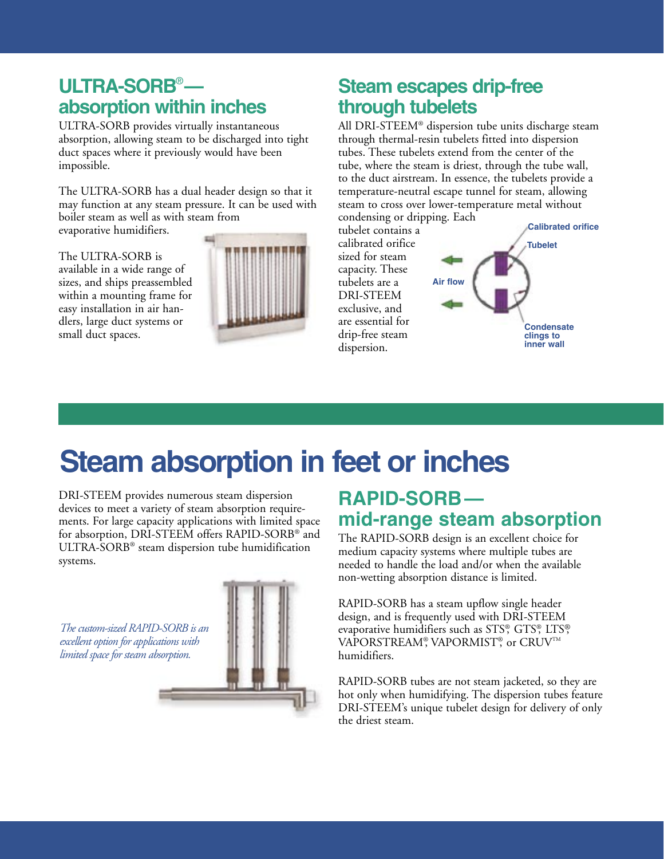### **ULTRA-SORB**®  **absorption within inches**

ULTRA-SORB provides virtually instantaneous absorption, allowing steam to be discharged into tight duct spaces where it previously would have been impossible.

The ULTRA-SORB has a dual header design so that it may function at any steam pressure. It can be used with boiler steam as well as with steam from evaporative humidifiers.

The ULTRA-SORB is available in a wide range of sizes, and ships preassembled within a mounting frame for easy installation in air handlers, large duct systems or small duct spaces.



### **Steam escapes drip-free through tubelets**

All DRI-STEEM® dispersion tube units discharge steam through thermal-resin tubelets fitted into dispersion tubes. These tubelets extend from the center of the tube, where the steam is driest, through the tube wall, to the duct airstream. In essence, the tubelets provide a temperature-neutral escape tunnel for steam, allowing steam to cross over lower-temperature metal without



# **Steam absorption in feet or inches**

DRI-STEEM provides numerous steam dispersion devices to meet a variety of steam absorption requirements. For large capacity applications with limited space for absorption, DRI-STEEM offers RAPID-SORB® and ULTRA-SORB® steam dispersion tube humidification systems.

*The custom-sized RAPID-SORB is an excellent option for applications with limited space for steam absorption.*



### **RAPID-SORB mid-range steam absorption**

The RAPID-SORB design is an excellent choice for medium capacity systems where multiple tubes are needed to handle the load and/or when the available non-wetting absorption distance is limited.

RAPID-SORB has a steam upflow single header design, and is frequently used with DRI-STEEM evaporative humidifiers such as STS®, GTS®, LTS®, VAPORSTREAM®, VAPORMIST®, or CRUV™ humidifiers.

RAPID-SORB tubes are not steam jacketed, so they are hot only when humidifying. The dispersion tubes feature DRI-STEEM's unique tubelet design for delivery of only the driest steam.